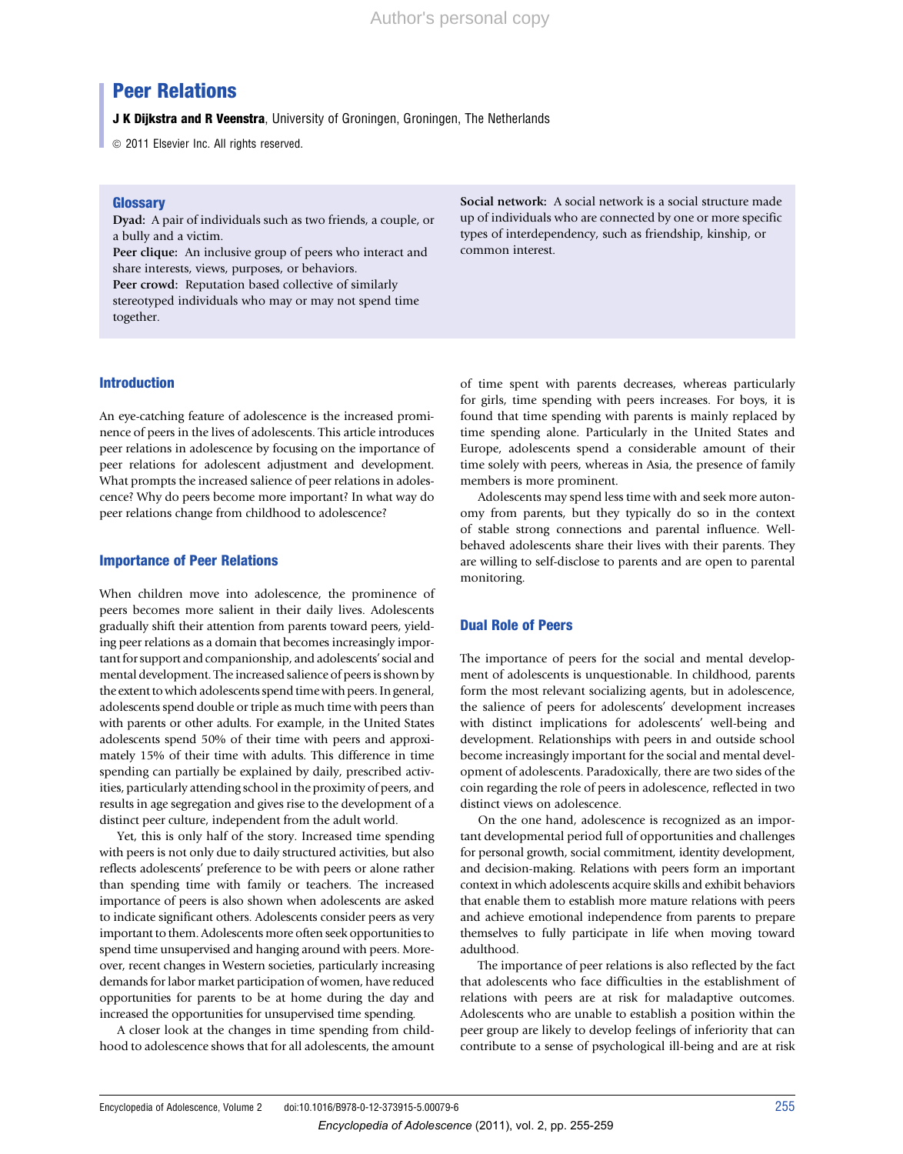# Peer Relations

J K Diikstra and R Veenstra, University of Groningen, Groningen, The Netherlands

 $©$  2011 Elsevier Inc. All rights reserved.

### **Glossary**

Dyad: A pair of individuals such as two friends, a couple, or a bully and a victim.

Peer clique: An inclusive group of peers who interact and share interests, views, purposes, or behaviors.

Peer crowd: Reputation based collective of similarly stereotyped individuals who may or may not spend time together.

Social network: A social network is a social structure made up of individuals who are connected by one or more specific types of interdependency, such as friendship, kinship, or common interest.

# Introduction

An eye-catching feature of adolescence is the increased prominence of peers in the lives of adolescents. This article introduces peer relations in adolescence by focusing on the importance of peer relations for adolescent adjustment and development. What prompts the increased salience of peer relations in adolescence? Why do peers become more important? In what way do peer relations change from childhood to adolescence?

# Importance of Peer Relations

When children move into adolescence, the prominence of peers becomes more salient in their daily lives. Adolescents gradually shift their attention from parents toward peers, yielding peer relations as a domain that becomes increasingly important for support and companionship, and adolescents' social and mental development. The increased salience of peers is shown by the extent to which adolescents spend time with peers. In general, adolescents spend double or triple as much time with peers than with parents or other adults. For example, in the United States adolescents spend 50% of their time with peers and approximately 15% of their time with adults. This difference in time spending can partially be explained by daily, prescribed activities, particularly attending school in the proximity of peers, and results in age segregation and gives rise to the development of a distinct peer culture, independent from the adult world.

Yet, this is only half of the story. Increased time spending with peers is not only due to daily structured activities, but also reflects adolescents' preference to be with peers or alone rather than spending time with family or teachers. The increased importance of peers is also shown when adolescents are asked to indicate significant others. Adolescents consider peers as very important to them. Adolescents more often seek opportunities to spend time unsupervised and hanging around with peers. Moreover, recent changes in Western societies, particularly increasing demands for labor market participation of women, have reduced opportunities for parents to be at home during the day and increased the opportunities for unsupervised time spending.

A closer look at the changes in time spending from childhood to adolescence shows that for all adolescents, the amount of time spent with parents decreases, whereas particularly for girls, time spending with peers increases. For boys, it is found that time spending with parents is mainly replaced by time spending alone. Particularly in the United States and Europe, adolescents spend a considerable amount of their time solely with peers, whereas in Asia, the presence of family members is more prominent.

Adolescents may spend less time with and seek more autonomy from parents, but they typically do so in the context of stable strong connections and parental influence. Wellbehaved adolescents share their lives with their parents. They are willing to self-disclose to parents and are open to parental monitoring.

# Dual Role of Peers

The importance of peers for the social and mental development of adolescents is unquestionable. In childhood, parents form the most relevant socializing agents, but in adolescence, the salience of peers for adolescents' development increases with distinct implications for adolescents' well-being and development. Relationships with peers in and outside school become increasingly important for the social and mental development of adolescents. Paradoxically, there are two sides of the coin regarding the role of peers in adolescence, reflected in two distinct views on adolescence.

On the one hand, adolescence is recognized as an important developmental period full of opportunities and challenges for personal growth, social commitment, identity development, and decision-making. Relations with peers form an important context in which adolescents acquire skills and exhibit behaviors that enable them to establish more mature relations with peers and achieve emotional independence from parents to prepare themselves to fully participate in life when moving toward adulthood.

The importance of peer relations is also reflected by the fact that adolescents who face difficulties in the establishment of relations with peers are at risk for maladaptive outcomes. Adolescents who are unable to establish a position within the peer group are likely to develop feelings of inferiority that can contribute to a sense of psychological ill-being and are at risk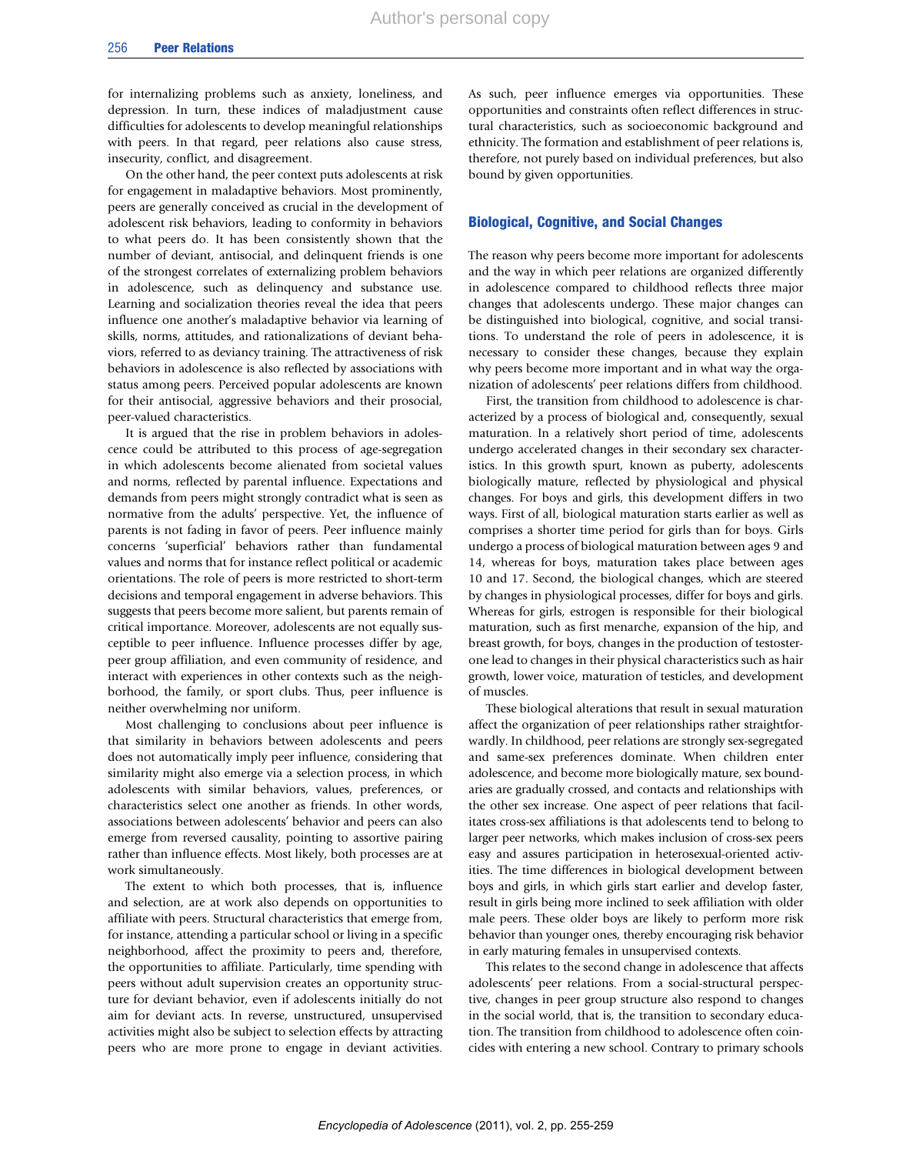for internalizing problems such as anxiety, loneliness, and depression. In turn, these indices of maladjustment cause difficulties for adolescents to develop meaningful relationships with peers. In that regard, peer relations also cause stress, insecurity, conflict, and disagreement.

On the other hand, the peer context puts adolescents at risk for engagement in maladaptive behaviors. Most prominently, peers are generally conceived as crucial in the development of adolescent risk behaviors, leading to conformity in behaviors to what peers do. It has been consistently shown that the number of deviant, antisocial, and delinquent friends is one of the strongest correlates of externalizing problem behaviors in adolescence, such as delinquency and substance use. Learning and socialization theories reveal the idea that peers influence one another's maladaptive behavior via learning of skills, norms, attitudes, and rationalizations of deviant behaviors, referred to as deviancy training. The attractiveness of risk behaviors in adolescence is also reflected by associations with status among peers. Perceived popular adolescents are known for their antisocial, aggressive behaviors and their prosocial, peer-valued characteristics.

It is argued that the rise in problem behaviors in adolescence could be attributed to this process of age-segregation in which adolescents become alienated from societal values and norms, reflected by parental influence. Expectations and demands from peers might strongly contradict what is seen as normative from the adults' perspective. Yet, the influence of parents is not fading in favor of peers. Peer influence mainly concerns 'superficial' behaviors rather than fundamental values and norms that for instance reflect political or academic orientations. The role of peers is more restricted to short-term decisions and temporal engagement in adverse behaviors. This suggests that peers become more salient, but parents remain of critical importance. Moreover, adolescents are not equally susceptible to peer influence. Influence processes differ by age, peer group affiliation, and even community of residence, and interact with experiences in other contexts such as the neighborhood, the family, or sport clubs. Thus, peer influence is neither overwhelming nor uniform.

Most challenging to conclusions about peer influence is that similarity in behaviors between adolescents and peers does not automatically imply peer influence, considering that similarity might also emerge via a selection process, in which adolescents with similar behaviors, values, preferences, or characteristics select one another as friends. In other words, associations between adolescents' behavior and peers can also emerge from reversed causality, pointing to assortive pairing rather than influence effects. Most likely, both processes are at work simultaneously.

The extent to which both processes, that is, influence and selection, are at work also depends on opportunities to affiliate with peers. Structural characteristics that emerge from, for instance, attending a particular school or living in a specific neighborhood, affect the proximity to peers and, therefore, the opportunities to affiliate. Particularly, time spending with peers without adult supervision creates an opportunity structure for deviant behavior, even if adolescents initially do not aim for deviant acts. In reverse, unstructured, unsupervised activities might also be subject to selection effects by attracting peers who are more prone to engage in deviant activities.

As such, peer influence emerges via opportunities. These opportunities and constraints often reflect differences in structural characteristics, such as socioeconomic background and ethnicity. The formation and establishment of peer relations is, therefore, not purely based on individual preferences, but also bound by given opportunities.

### Biological, Cognitive, and Social Changes

The reason why peers become more important for adolescents and the way in which peer relations are organized differently in adolescence compared to childhood reflects three major changes that adolescents undergo. These major changes can be distinguished into biological, cognitive, and social transitions. To understand the role of peers in adolescence, it is necessary to consider these changes, because they explain why peers become more important and in what way the organization of adolescents' peer relations differs from childhood.

First, the transition from childhood to adolescence is characterized by a process of biological and, consequently, sexual maturation. In a relatively short period of time, adolescents undergo accelerated changes in their secondary sex characteristics. In this growth spurt, known as puberty, adolescents biologically mature, reflected by physiological and physical changes. For boys and girls, this development differs in two ways. First of all, biological maturation starts earlier as well as comprises a shorter time period for girls than for boys. Girls undergo a process of biological maturation between ages 9 and 14, whereas for boys, maturation takes place between ages 10 and 17. Second, the biological changes, which are steered by changes in physiological processes, differ for boys and girls. Whereas for girls, estrogen is responsible for their biological maturation, such as first menarche, expansion of the hip, and breast growth, for boys, changes in the production of testosterone lead to changes in their physical characteristics such as hair growth, lower voice, maturation of testicles, and development of muscles.

These biological alterations that result in sexual maturation affect the organization of peer relationships rather straightforwardly. In childhood, peer relations are strongly sex-segregated and same-sex preferences dominate. When children enter adolescence, and become more biologically mature, sex boundaries are gradually crossed, and contacts and relationships with the other sex increase. One aspect of peer relations that facilitates cross-sex affiliations is that adolescents tend to belong to larger peer networks, which makes inclusion of cross-sex peers easy and assures participation in heterosexual-oriented activities. The time differences in biological development between boys and girls, in which girls start earlier and develop faster, result in girls being more inclined to seek affiliation with older male peers. These older boys are likely to perform more risk behavior than younger ones, thereby encouraging risk behavior in early maturing females in unsupervised contexts.

This relates to the second change in adolescence that affects adolescents' peer relations. From a social-structural perspective, changes in peer group structure also respond to changes in the social world, that is, the transition to secondary education. The transition from childhood to adolescence often coincides with entering a new school. Contrary to primary schools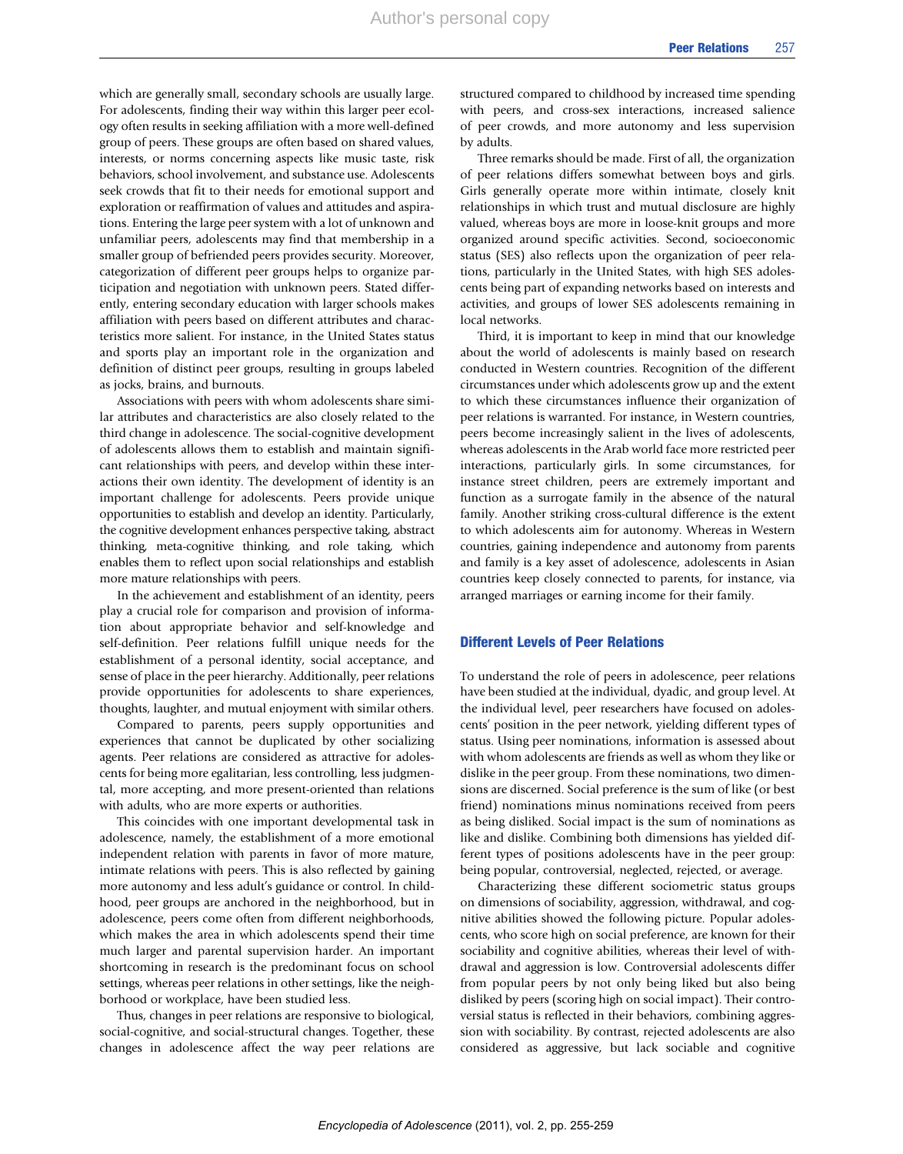which are generally small, secondary schools are usually large. For adolescents, finding their way within this larger peer ecology often results in seeking affiliation with a more well-defined group of peers. These groups are often based on shared values, interests, or norms concerning aspects like music taste, risk behaviors, school involvement, and substance use. Adolescents seek crowds that fit to their needs for emotional support and exploration or reaffirmation of values and attitudes and aspirations. Entering the large peer system with a lot of unknown and unfamiliar peers, adolescents may find that membership in a smaller group of befriended peers provides security. Moreover, categorization of different peer groups helps to organize participation and negotiation with unknown peers. Stated differently, entering secondary education with larger schools makes affiliation with peers based on different attributes and characteristics more salient. For instance, in the United States status and sports play an important role in the organization and definition of distinct peer groups, resulting in groups labeled as jocks, brains, and burnouts.

Associations with peers with whom adolescents share similar attributes and characteristics are also closely related to the third change in adolescence. The social-cognitive development of adolescents allows them to establish and maintain significant relationships with peers, and develop within these interactions their own identity. The development of identity is an important challenge for adolescents. Peers provide unique opportunities to establish and develop an identity. Particularly, the cognitive development enhances perspective taking, abstract thinking, meta-cognitive thinking, and role taking, which enables them to reflect upon social relationships and establish more mature relationships with peers.

In the achievement and establishment of an identity, peers play a crucial role for comparison and provision of information about appropriate behavior and self-knowledge and self-definition. Peer relations fulfill unique needs for the establishment of a personal identity, social acceptance, and sense of place in the peer hierarchy. Additionally, peer relations provide opportunities for adolescents to share experiences, thoughts, laughter, and mutual enjoyment with similar others.

Compared to parents, peers supply opportunities and experiences that cannot be duplicated by other socializing agents. Peer relations are considered as attractive for adolescents for being more egalitarian, less controlling, less judgmental, more accepting, and more present-oriented than relations with adults, who are more experts or authorities.

This coincides with one important developmental task in adolescence, namely, the establishment of a more emotional independent relation with parents in favor of more mature, intimate relations with peers. This is also reflected by gaining more autonomy and less adult's guidance or control. In childhood, peer groups are anchored in the neighborhood, but in adolescence, peers come often from different neighborhoods, which makes the area in which adolescents spend their time much larger and parental supervision harder. An important shortcoming in research is the predominant focus on school settings, whereas peer relations in other settings, like the neighborhood or workplace, have been studied less.

Thus, changes in peer relations are responsive to biological, social-cognitive, and social-structural changes. Together, these changes in adolescence affect the way peer relations are structured compared to childhood by increased time spending with peers, and cross-sex interactions, increased salience of peer crowds, and more autonomy and less supervision by adults.

Three remarks should be made. First of all, the organization of peer relations differs somewhat between boys and girls. Girls generally operate more within intimate, closely knit relationships in which trust and mutual disclosure are highly valued, whereas boys are more in loose-knit groups and more organized around specific activities. Second, socioeconomic status (SES) also reflects upon the organization of peer relations, particularly in the United States, with high SES adolescents being part of expanding networks based on interests and activities, and groups of lower SES adolescents remaining in local networks.

Third, it is important to keep in mind that our knowledge about the world of adolescents is mainly based on research conducted in Western countries. Recognition of the different circumstances under which adolescents grow up and the extent to which these circumstances influence their organization of peer relations is warranted. For instance, in Western countries, peers become increasingly salient in the lives of adolescents, whereas adolescents in the Arab world face more restricted peer interactions, particularly girls. In some circumstances, for instance street children, peers are extremely important and function as a surrogate family in the absence of the natural family. Another striking cross-cultural difference is the extent to which adolescents aim for autonomy. Whereas in Western countries, gaining independence and autonomy from parents and family is a key asset of adolescence, adolescents in Asian countries keep closely connected to parents, for instance, via arranged marriages or earning income for their family.

## Different Levels of Peer Relations

To understand the role of peers in adolescence, peer relations have been studied at the individual, dyadic, and group level. At the individual level, peer researchers have focused on adolescents' position in the peer network, yielding different types of status. Using peer nominations, information is assessed about with whom adolescents are friends as well as whom they like or dislike in the peer group. From these nominations, two dimensions are discerned. Social preference is the sum of like (or best friend) nominations minus nominations received from peers as being disliked. Social impact is the sum of nominations as like and dislike. Combining both dimensions has yielded different types of positions adolescents have in the peer group: being popular, controversial, neglected, rejected, or average.

Characterizing these different sociometric status groups on dimensions of sociability, aggression, withdrawal, and cognitive abilities showed the following picture. Popular adolescents, who score high on social preference, are known for their sociability and cognitive abilities, whereas their level of withdrawal and aggression is low. Controversial adolescents differ from popular peers by not only being liked but also being disliked by peers (scoring high on social impact). Their controversial status is reflected in their behaviors, combining aggression with sociability. By contrast, rejected adolescents are also considered as aggressive, but lack sociable and cognitive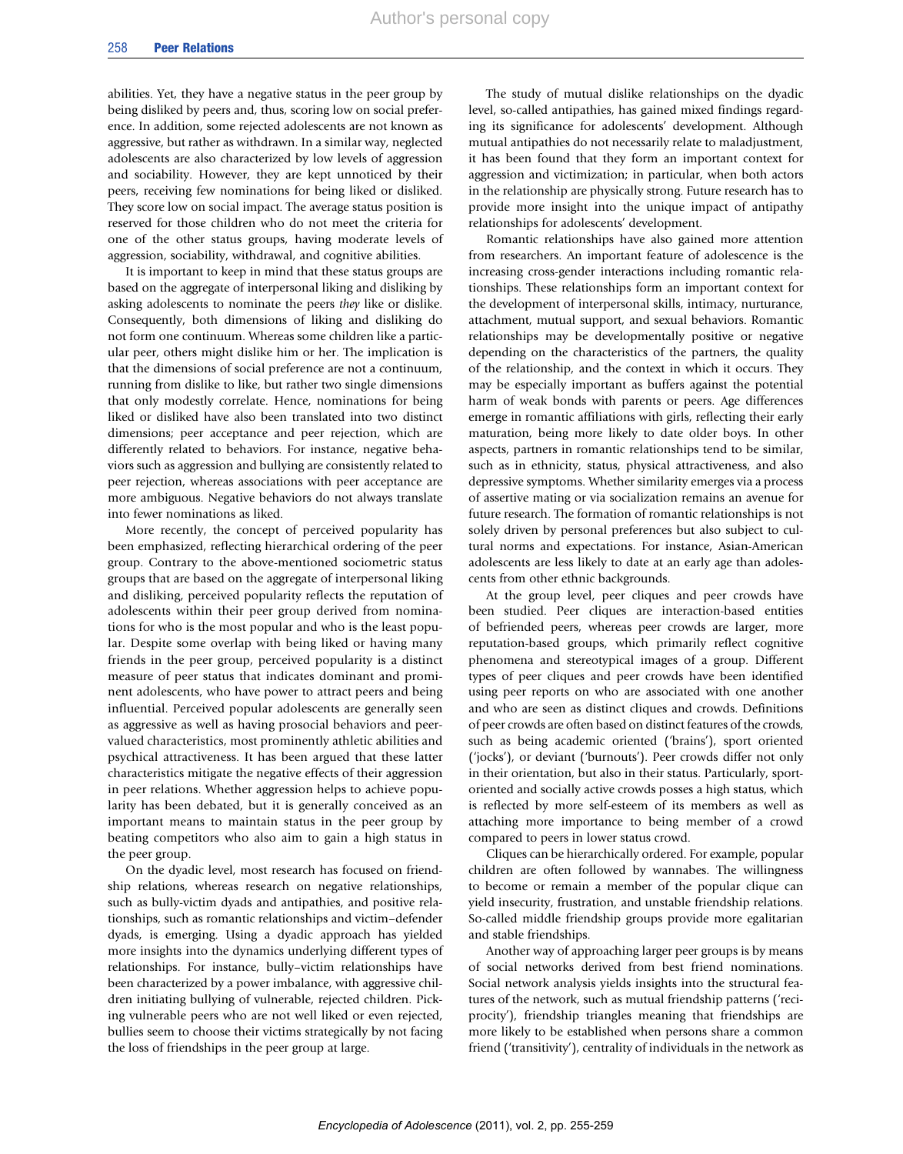abilities. Yet, they have a negative status in the peer group by being disliked by peers and, thus, scoring low on social preference. In addition, some rejected adolescents are not known as aggressive, but rather as withdrawn. In a similar way, neglected adolescents are also characterized by low levels of aggression and sociability. However, they are kept unnoticed by their peers, receiving few nominations for being liked or disliked. They score low on social impact. The average status position is reserved for those children who do not meet the criteria for one of the other status groups, having moderate levels of aggression, sociability, withdrawal, and cognitive abilities.

It is important to keep in mind that these status groups are based on the aggregate of interpersonal liking and disliking by asking adolescents to nominate the peers they like or dislike. Consequently, both dimensions of liking and disliking do not form one continuum. Whereas some children like a particular peer, others might dislike him or her. The implication is that the dimensions of social preference are not a continuum, running from dislike to like, but rather two single dimensions that only modestly correlate. Hence, nominations for being liked or disliked have also been translated into two distinct dimensions; peer acceptance and peer rejection, which are differently related to behaviors. For instance, negative behaviors such as aggression and bullying are consistently related to peer rejection, whereas associations with peer acceptance are more ambiguous. Negative behaviors do not always translate into fewer nominations as liked.

More recently, the concept of perceived popularity has been emphasized, reflecting hierarchical ordering of the peer group. Contrary to the above-mentioned sociometric status groups that are based on the aggregate of interpersonal liking and disliking, perceived popularity reflects the reputation of adolescents within their peer group derived from nominations for who is the most popular and who is the least popular. Despite some overlap with being liked or having many friends in the peer group, perceived popularity is a distinct measure of peer status that indicates dominant and prominent adolescents, who have power to attract peers and being influential. Perceived popular adolescents are generally seen as aggressive as well as having prosocial behaviors and peervalued characteristics, most prominently athletic abilities and psychical attractiveness. It has been argued that these latter characteristics mitigate the negative effects of their aggression in peer relations. Whether aggression helps to achieve popularity has been debated, but it is generally conceived as an important means to maintain status in the peer group by beating competitors who also aim to gain a high status in the peer group.

On the dyadic level, most research has focused on friendship relations, whereas research on negative relationships, such as bully-victim dyads and antipathies, and positive relationships, such as romantic relationships and victim–defender dyads, is emerging. Using a dyadic approach has yielded more insights into the dynamics underlying different types of relationships. For instance, bully–victim relationships have been characterized by a power imbalance, with aggressive children initiating bullying of vulnerable, rejected children. Picking vulnerable peers who are not well liked or even rejected, bullies seem to choose their victims strategically by not facing the loss of friendships in the peer group at large.

The study of mutual dislike relationships on the dyadic level, so-called antipathies, has gained mixed findings regarding its significance for adolescents' development. Although mutual antipathies do not necessarily relate to maladjustment, it has been found that they form an important context for aggression and victimization; in particular, when both actors in the relationship are physically strong. Future research has to provide more insight into the unique impact of antipathy relationships for adolescents' development.

Romantic relationships have also gained more attention from researchers. An important feature of adolescence is the increasing cross-gender interactions including romantic relationships. These relationships form an important context for the development of interpersonal skills, intimacy, nurturance, attachment, mutual support, and sexual behaviors. Romantic relationships may be developmentally positive or negative depending on the characteristics of the partners, the quality of the relationship, and the context in which it occurs. They may be especially important as buffers against the potential harm of weak bonds with parents or peers. Age differences emerge in romantic affiliations with girls, reflecting their early maturation, being more likely to date older boys. In other aspects, partners in romantic relationships tend to be similar, such as in ethnicity, status, physical attractiveness, and also depressive symptoms. Whether similarity emerges via a process of assertive mating or via socialization remains an avenue for future research. The formation of romantic relationships is not solely driven by personal preferences but also subject to cultural norms and expectations. For instance, Asian-American adolescents are less likely to date at an early age than adolescents from other ethnic backgrounds.

At the group level, peer cliques and peer crowds have been studied. Peer cliques are interaction-based entities of befriended peers, whereas peer crowds are larger, more reputation-based groups, which primarily reflect cognitive phenomena and stereotypical images of a group. Different types of peer cliques and peer crowds have been identified using peer reports on who are associated with one another and who are seen as distinct cliques and crowds. Definitions of peer crowds are often based on distinct features of the crowds, such as being academic oriented ('brains'), sport oriented ('jocks'), or deviant ('burnouts'). Peer crowds differ not only in their orientation, but also in their status. Particularly, sportoriented and socially active crowds posses a high status, which is reflected by more self-esteem of its members as well as attaching more importance to being member of a crowd compared to peers in lower status crowd.

Cliques can be hierarchically ordered. For example, popular children are often followed by wannabes. The willingness to become or remain a member of the popular clique can yield insecurity, frustration, and unstable friendship relations. So-called middle friendship groups provide more egalitarian and stable friendships.

Another way of approaching larger peer groups is by means of social networks derived from best friend nominations. Social network analysis yields insights into the structural features of the network, such as mutual friendship patterns ('reciprocity'), friendship triangles meaning that friendships are more likely to be established when persons share a common friend ('transitivity'), centrality of individuals in the network as